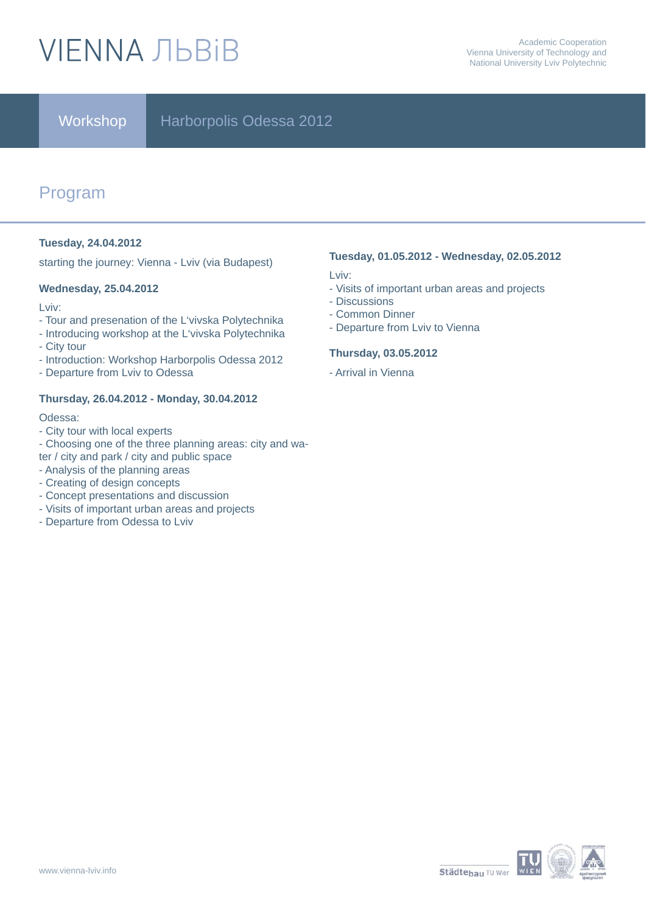# **VIENNA ЛЬВІВ**

### Workshop | Harborpolis Odessa 2012

## Program

### **Tuesday, 24.04.2012**

starting the journey: Vienna - Lviv (via Budapest)

### **Wednesday, 25.04.2012**

Lviv:

- Tour and presenation of the L'vivska Polytechnika
- Introducing workshop at the L'vivska Polytechnika - City tour
- Introduction: Workshop Harborpolis Odessa 2012
- Departure from Lviv to Odessa

### **Thursday, 26.04.2012 - Monday, 30.04.2012**

Odessa:

- City tour with local experts
- Choosing one of the three planning areas: city and wa-
- ter / city and park / city and public space
- Analysis of the planning areas
- Creating of design concepts
- Concept presentations and discussion
- Visits of important urban areas and projects
- Departure from Odessa to Lviv

### **Tuesday, 01.05.2012 - Wednesday, 02.05.2012**

Lviv:

- Visits of important urban areas and projects
- Discussions
- Common Dinner
- Departure from Lviv to Vienna

### **Thursday, 03.05.2012**

- Arrival in Vienna